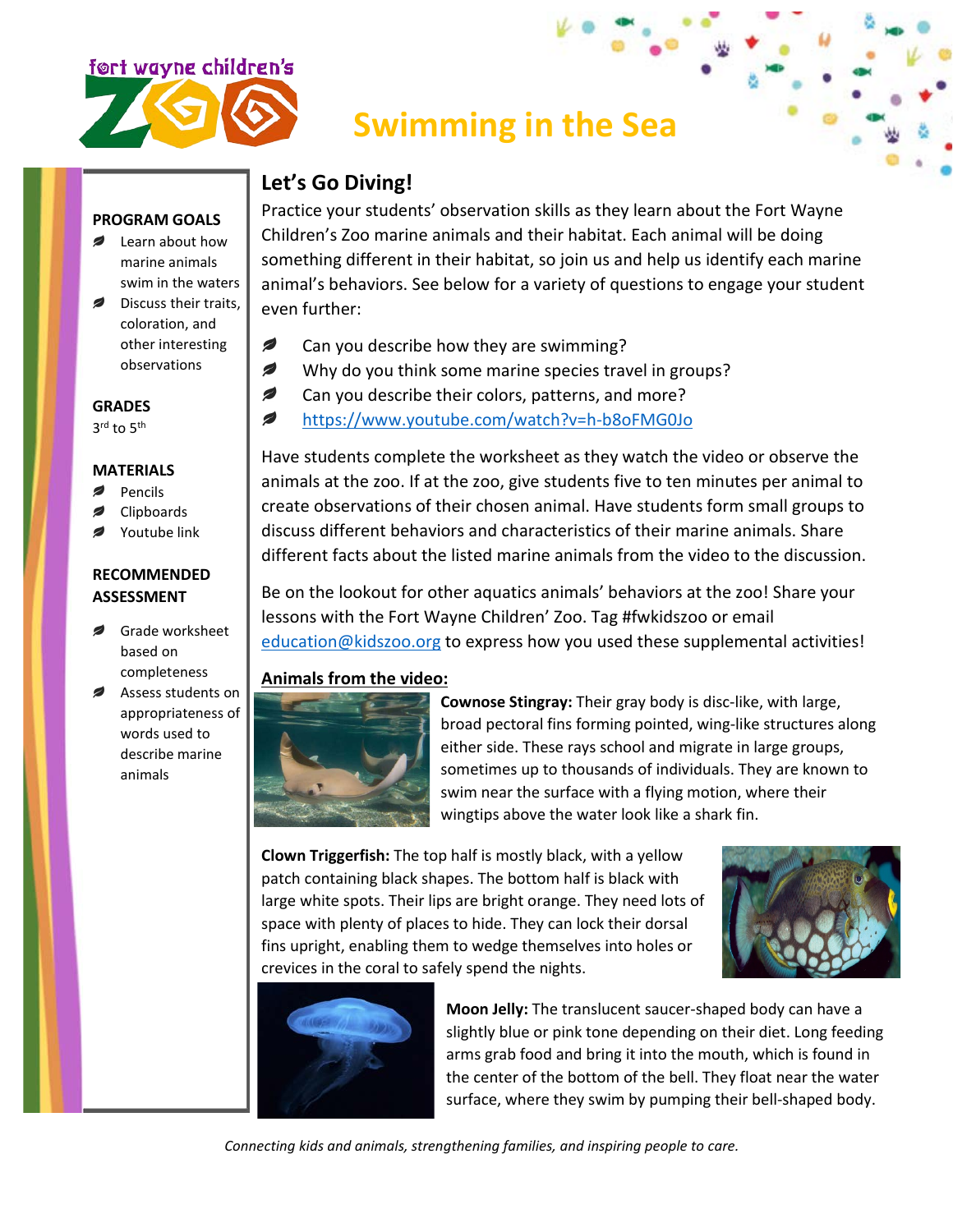

## **Swimming in the Sea**

### **Let's Go Diving!**

Practice your students' observation skills as they learn about the Fort Wayne Children's Zoo marine animals and their habitat. Each animal will be doing something different in their habitat, so join us and help us identify each marine animal's behaviors. See below for a variety of questions to engage your student even further:

- Ø Can you describe how they are swimming?
- Ø Why do you think some marine species travel in groups?
- Ø Can you describe their colors, patterns, and more?
- Ø <https://www.youtube.com/watch?v=h-b8oFMG0Jo>

Have students complete the worksheet as they watch the video or observe the animals at the zoo. If at the zoo, give students five to ten minutes per animal to create observations of their chosen animal. Have students form small groups to discuss different behaviors and characteristics of their marine animals. Share different facts about the listed marine animals from the video to the discussion.

Be on the lookout for other aquatics animals' behaviors at the zoo! Share your lessons with the Fort Wayne Children' Zoo. Tag #fwkidszoo or email [education@kidszoo.org](mailto:education@kidszoo.org) to express how you used these supplemental activities!

#### **Animals from the video:**



**Cownose Stingray:** Their gray body is disc-like, with large, broad pectoral fins forming pointed, wing-like structures along either side. These rays school and migrate in large groups, sometimes up to thousands of individuals. They are known to swim near the surface with a flying motion, where their wingtips above the water look like a shark fin.

**Clown Triggerfish:** The top half is mostly black, with a yellow patch containing black shapes. The bottom half is black with large white spots. Their lips are bright orange. They need lots of space with plenty of places to hide. They can lock their dorsal fins upright, enabling them to wedge themselves into holes or crevices in the coral to safely spend the nights.





**Moon Jelly:** The translucent saucer-shaped body can have a slightly blue or pink tone depending on their diet. Long feeding arms grab food and bring it into the mouth, which is found in the center of the bottom of the bell. They float near the water surface, where they swim by pumping their bell-shaped body.

*Connecting kids and animals, strengthening families, and inspiring people to care.*

### Discuss their traits.

coloration, and other interesting observations

**PROGRAM GOALS Example 1** Learn about how marine animals swim in the waters

**GRADES** 3rd to 5<sup>th</sup>

#### **MATERIALS**

- Pencils
- Clipboards
- Youtube link

#### **RECOMMENDED ASSESSMENT**

- Grade worksheet based on completeness
- Assess students on appropriateness of words used to describe marine animals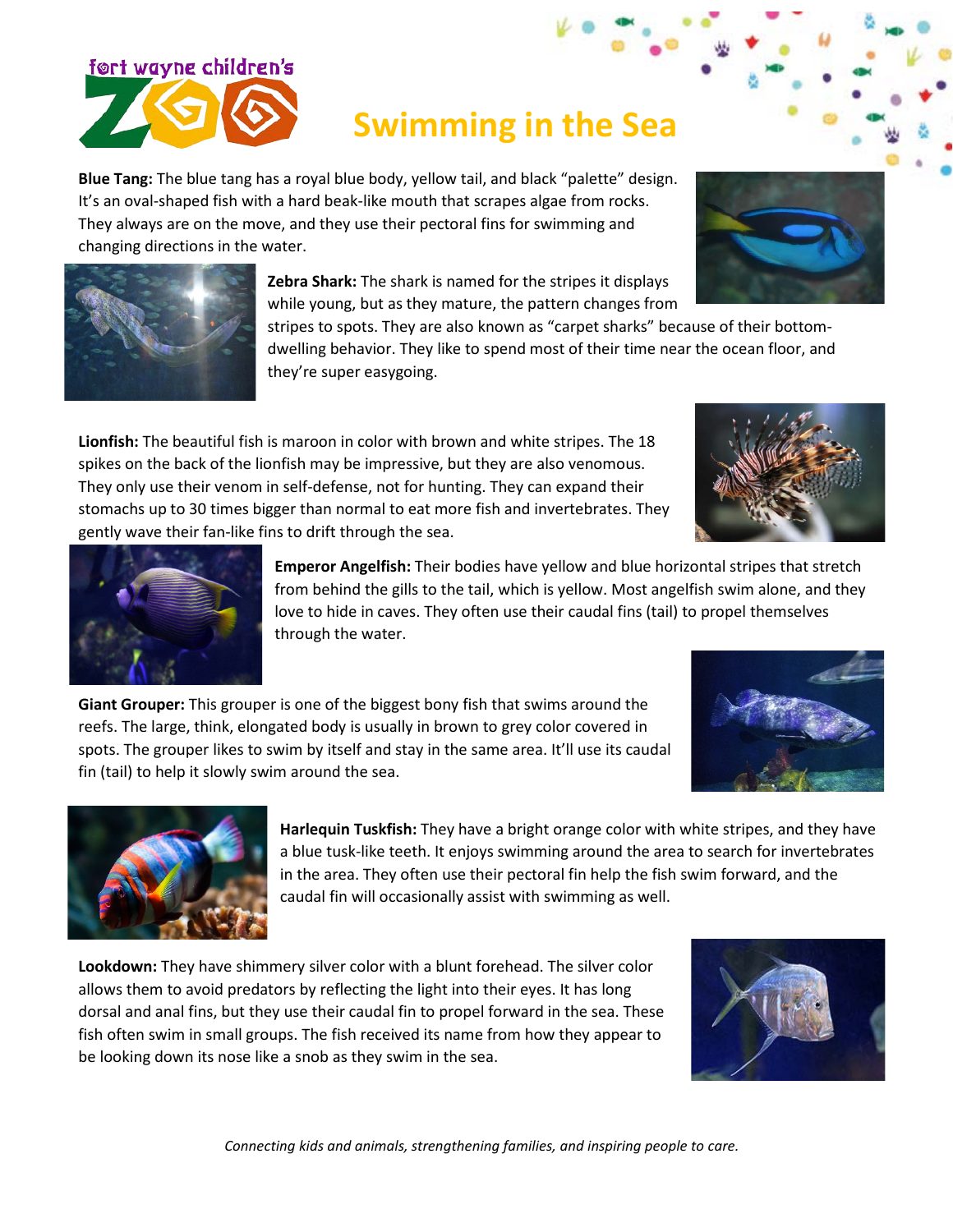# **Swimming in the Sea**

**Blue Tang:** The blue tang has a royal blue body, yellow tail, and black "palette" design. It's an oval-shaped fish with a hard beak-like mouth that scrapes algae from rocks. They always are on the move, and they use their pectoral fins for swimming and changing directions in the water.

> **Zebra Shark:** The shark is named for the stripes it displays while young, but as they mature, the pattern changes from

stripes to spots. They are also known as "carpet sharks" because of their bottomdwelling behavior. They like to spend most of their time near the ocean floor, and they're super easygoing.

**Lionfish:** The beautiful fish is maroon in color with brown and white stripes. The 18 spikes on the back of the lionfish may be impressive, but they are also venomous. They only use their venom in self-defense, not for hunting. They can expand their stomachs up to 30 times bigger than normal to eat more fish and invertebrates. They gently wave their fan-like fins to drift through the sea.

> **Emperor Angelfish:** Their bodies have yellow and blue horizontal stripes that stretch from behind the gills to the tail, which is yellow. Most angelfish swim alone, and they love to hide in caves. They often use their caudal fins (tail) to propel themselves through the water.

**Giant Grouper:** This grouper is one of the biggest bony fish that swims around the reefs. The large, think, elongated body is usually in brown to grey color covered in spots. The grouper likes to swim by itself and stay in the same area. It'll use its caudal fin (tail) to help it slowly swim around the sea.

**Lookdown:** They have shimmery silver color with a blunt forehead. The silver color allows them to avoid predators by reflecting the light into their eyes. It has long dorsal and anal fins, but they use their caudal fin to propel forward in the sea. These fish often swim in small groups. The fish received its name from how they appear to

be looking down its nose like a snob as they swim in the sea.

**Harlequin Tuskfish:** They have a bright orange color with white stripes, and they have a blue tusk-like teeth. It enjoys swimming around the area to search for invertebrates in the area. They often use their pectoral fin help the fish swim forward, and the caudal fin will occasionally assist with swimming as well.

*Connecting kids and animals, strengthening families, and inspiring people to care.*